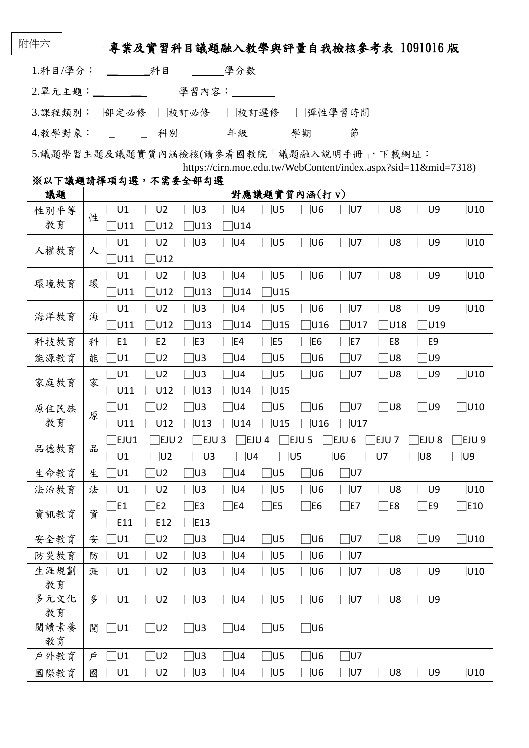# 專業及實習科目議題融入教學與評量自我檢核參考表 1091016 版

|                                  |                                                                                                                 | 學分數           |   |
|----------------------------------|-----------------------------------------------------------------------------------------------------------------|---------------|---|
| 2.單元主題:_________                 |                                                                                                                 | 學習內容:________ |   |
| 3.課程類別:□部定必修 □校訂必修 □校訂選修 □彈性學習時間 |                                                                                                                 |               |   |
| 4.教學對象:                          | こんじょう いちょう こうきょう こうきょう エンダイン かんじょう かんきょう かいじょう かいじょう かいじょう かいじょう かいじょう こくしゃ かいじょう はんしゃ はんしゃ はんしゃ こくし はんしゃ こくりょう |               | 節 |

5.議題學習主題及議題實質內涵檢核(請參看國教院「議題融入說明手冊」,下載網址: https://cirn.moe.edu.tw/WebContent/index.aspx?sid=11&mid=7318)

### ※以下議題請擇項勾選,不需要全部勾選

| 議題         | 對應議題實質內涵(打 v) |            |                                                                                                                  |                |     |           |            |             |                  |            |           |
|------------|---------------|------------|------------------------------------------------------------------------------------------------------------------|----------------|-----|-----------|------------|-------------|------------------|------------|-----------|
| 性別平等       | 性             | <b>]∪1</b> | ]U2                                                                                                              | U3             | U4  | U5        | U6         | U7          | ໄປ8              | ∃∪9        | U10       |
| 教育         |               | U11        | U12                                                                                                              | U13            | U14 |           |            |             |                  |            |           |
| 人權教育<br>人  |               | ∃∪1        | $\neg$ U2                                                                                                        | ໄU3            | U4  | $\neg$ U5 | <b>U6</b>  | $\sqcap$ U7 | $\sqcap$ U8      | $\Box$ U9  | U10       |
|            |               | U11        | U12                                                                                                              |                |     |           |            |             |                  |            |           |
| 環境教育       | 環             | ∣U1        | U2                                                                                                               | ์  U3          | U4  | <b>U5</b> | <b>U6</b>  | $\sqcap$ U7 | $\sqcap$ U8      | $\Box$ U9  | U10       |
|            |               | U11        | U12                                                                                                              | U13            | U14 | U15       |            |             |                  |            |           |
| 海洋教育       | 海             | U1         | $\square$ U2                                                                                                     | U3             | U4  | U5        | <b>U6</b>  | ໄປ7         | ∃∪8              | ∏U9        | U10       |
|            |               | U11        | U12                                                                                                              | U13            | U14 | U15       | <b>U16</b> | U17         | $\sqrt{018}$     | U19        |           |
| 科技教育       | 科             | E1         | <b>E2</b>                                                                                                        | ĴΕ3            | E4  | E5        | E6         | E7          | ]E8              | E9         |           |
| 能源教育       | 能             | U1         | $\square$ U2                                                                                                     | ∣U3            | U4  | U5        | U6         | U7          | ∃∪8              | $\lnot$ U9 |           |
| 家庭教育       | 家             | U1         | U2                                                                                                               | U3             | U4  | U5        | ]U6        | ]U7         | ∃∪8              | ∏U9        | U10       |
|            |               | U11        | U12                                                                                                              | U13            | U14 | U15       |            |             |                  |            |           |
| 原住民族       | 原             | U1         | U2                                                                                                               | U3             | U4  | U5        | <b>U6</b>  | <b>U7</b>   | $\exists$ U8     | ⊤ U9       | U10       |
| 教育         |               | U11        | U12                                                                                                              | U13            | U14 | U15       | U16        | U17         |                  |            |           |
| 品德教育       | 品             | EJU1       | EJU 9<br>EJU <sub>2</sub><br>EJU <sub>3</sub><br>EJU 4<br>EJU 5<br>EJU <sub>6</sub><br>EJU <sub>7</sub><br>EJU 8 |                |     |           |            |             |                  |            |           |
|            |               |            |                                                                                                                  |                |     |           |            |             |                  |            |           |
|            |               | U1         | $\neg$ U2                                                                                                        | $\neg$ U3      | U4  |           | U5         | ໄປ6         | ໄປ7              | ∣U8        | $\Box$ U9 |
| 生命教育       | 生             | U1         | $\square$ U2                                                                                                     | U3             | U4  | U5        | U6         | U7          |                  |            |           |
| 法治教育       | 法             | U1         | U2                                                                                                               | U3             | U4  | U5        | U6         | U7          | ∃∪8              | ∏U9        | U10       |
|            |               | E1         | E2                                                                                                               | E <sub>3</sub> | E4  | E5        | JE6        | JE7         | $\varepsilon$ E8 | $\Box$ E9  | E10       |
| 資訊教育       | 資             | E11        | E12                                                                                                              | E13            |     |           |            |             |                  |            |           |
| 安全教育       | 安             | ]U1        | $\square$ U2                                                                                                     | ∣U3            | U4  | <b>U5</b> | U6         | ໄU7         | ∃∪8              | ∏U9        | U10       |
| 防災教育       | 防             | U1         | U2                                                                                                               | U3             | U4  | U5        | U6         | U7          |                  |            |           |
| 生涯規劃       | 涯             | U1         | U2                                                                                                               | U3             | U4  | U5        | U6         | U7          | ]U8              | U9         | U10       |
| 教育         |               |            |                                                                                                                  |                |     |           |            |             |                  |            |           |
| 多元文化       | 多             | $\Box$ U1  | $\Box$ U2                                                                                                        | $\sqcap$ U3    | ∃∪4 | $\Box$ U5 | $\neg$ U6  | $\neg$ U7   | $\sqsupseteq$ U8 | $\Box$ U9  |           |
| 教育         |               |            |                                                                                                                  |                |     |           |            |             |                  |            |           |
| 閱讀素養<br>教育 | 閲             | ]U1        | $\square$ U2                                                                                                     | ]U3            | ]U4 | JU5       | $\Box$ U6  |             |                  |            |           |
| 戶外教育       | 户             | JU1        | JU2                                                                                                              | ]U3            | U4  | JU5       | U6         | ]U7         |                  |            |           |

附件六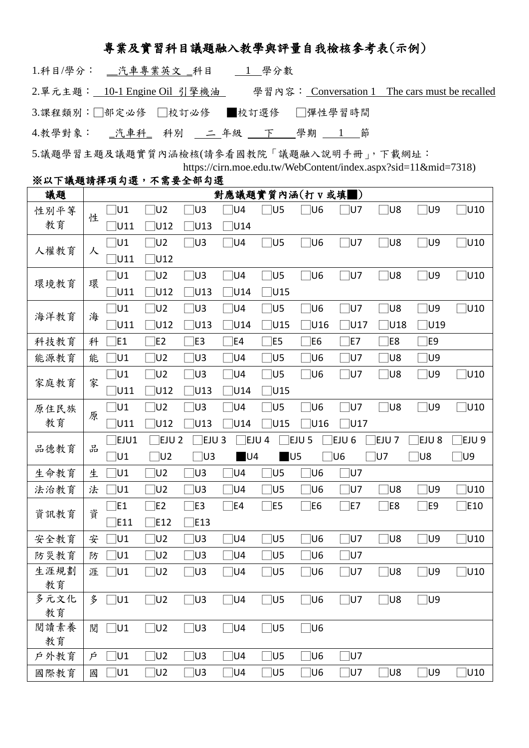## 專業及實習科目議題融入教學與評量自我檢核參考表(示例)

| 2.單元主題: 10-1 Engine Oil 引擎機油             |  |  |  |  | 學習內容: Conversation 1 The cars must be recalled |  |
|------------------------------------------|--|--|--|--|------------------------------------------------|--|
| 3.課程類別:□部定必修 □校訂必修 ■校訂選修 □彈性學習時間         |  |  |  |  |                                                |  |
| 4.教學對象: _汽車科_ 科別 _ 二 年級 _ 下 _ 學期 _ 1 _ 節 |  |  |  |  |                                                |  |
|                                          |  |  |  |  |                                                |  |

5.議題學習主題及議題實質內涵檢核(請參看國教院「議題融入說明手冊」,下載網址: https://cirn.moe.edu.tw/WebContent/index.aspx?sid=11&mid=7318) ※以下議題請擇項勾選,不需要全部勾選

#### 議題 │ | | | | | | | | | 對應議題實質內涵(打 v 或填■) 性別平等 ·ハ | 寸 | 性<br>教育 | □U1 □U2 □U3 □U4 □U5 □U6 □U7 □U8 □U9 □U10 □U11 □U12 □U13 □U14 人權教育 | 人 □U1 □U2 □U3 □U4 □U5 □U6 □U7 □U8 □U9 □U10  $\overline{\bigcup}$ U11  $\overline{\bigcup}$ U12 環境教育 | 環 □U1 □U2 □U3 □U4 □U5 □U6 □U7 □U8 □U9 □U10  $\neg$ U11  $\neg$ U12  $\neg$ U13  $\neg$ U14  $\neg$ U15 海洋教育 海 □U1 □U2 □U3 □U4 □U5 □U6 □U7 □U8 □U9 □U10 □U11 □U12 □U13 □U14 □U15 □U16 □U17 □U18 □U19 科技教育 | 科 □E1 □E2 □E3 □E4 □E5 □E6 □E7 □E8 □E9 能源教育│能 □U1 □U2 □U3 □U4 □U5 □U6 □U7 □U8 □U9 家庭教育 家 □U1 □U2 □U3 □U4 □U5 □U6 □U7 □U8 □U9 □U10 □U11 □U12 □U13 □U14 □U15 原住民族 一八, 原 □U1 □U2 □U3 □U4 □U5 □U6 □U7 □U8 □U9 □U10 □U11 □U12 □U13 □U14 □U15 □U16 □U17 品德教育 品 □EJU1 □EJU 2 □EJU 3 □EJU 4 □EJU 5 □EJU 6 □EJU 7 □EJU 8 □EJU 9 □U1 □U2 □U3 ■U4 ■U5 □U6 □U7 □U8 □U9 生命教育│生 □U1 □U2 □U3 □U4 □U5 □U6 □U7 法治教育│法 □U1 □U2 □U3 □U4 □U5 □U6 □U7 □U8 □U9 □U10 資訊教育 資 □E1 □E2 □E3 □E4 □E5 □E6 □E7 □E8 □E9 □E10  $\Box$ E11  $\Box$ E12  $\Box$ E13 安全教育│安 □U1 □U2 □U3 □U4 □U5 □U6 □U7 □U8 □U9 □U10 防災教育 | 防 □U1 □U2 □U3 □U4 □U5 □U6 □U7 生涯規劃 教育 涯 □U1 □U2 □U3 □U4 □U5 □U6 □U7 □U8 □U9 □U10 多元文化 教育 多 □U1 □U2 □U3 □U4 □U5 □U6 □U7 □U8 □U9 閱讀素養 教育 閲 □U1 □U2 □U3 □U4 □U5 □U6  $\overline{P}$  外教育 │  $\overline{P}$  □U1 □U2 □U3 □U4 □U5 □U6 □U7 國際教育│國 □U1 □U2 □U3 □U4 □U5 □U6 □U7 □U8 □U9 □U10